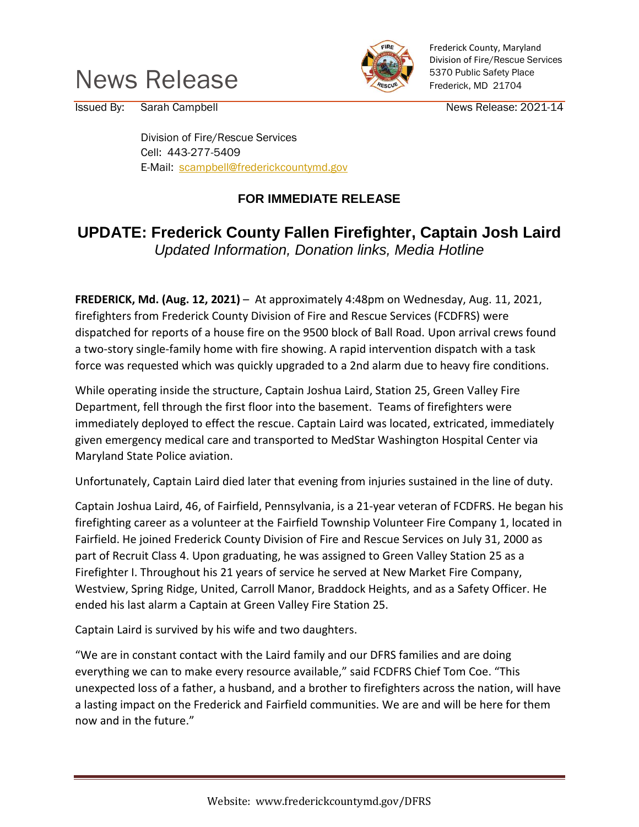



Frederick County, Maryland Division of Fire/Rescue Services 5370 Public Safety Place Frederick, MD 21704

Issued By: Sarah Campbell **Issued By:** Sarah Campbell News Release: 2021-14

Division of Fire/Rescue Services Cell: 443-277-5409 E-Mail: [scampbell@frederickcountymd.gov](mailto:scampbell@frederickcountymd.gov)

## **FOR IMMEDIATE RELEASE**

## **UPDATE: Frederick County Fallen Firefighter, Captain Josh Laird**

*Updated Information, Donation links, Media Hotline*

**FREDERICK, Md. (Aug. 12, 2021)** – At approximately 4:48pm on Wednesday, Aug. 11, 2021, firefighters from Frederick County Division of Fire and Rescue Services (FCDFRS) were dispatched for reports of a house fire on the 9500 block of Ball Road. Upon arrival crews found a two-story single-family home with fire showing. A rapid intervention dispatch with a task force was requested which was quickly upgraded to a 2nd alarm due to heavy fire conditions.

While operating inside the structure, Captain Joshua Laird, Station 25, Green Valley Fire Department, fell through the first floor into the basement. Teams of firefighters were immediately deployed to effect the rescue. Captain Laird was located, extricated, immediately given emergency medical care and transported to MedStar Washington Hospital Center via Maryland State Police aviation.

Unfortunately, Captain Laird died later that evening from injuries sustained in the line of duty.

Captain Joshua Laird, 46, of Fairfield, Pennsylvania, is a 21-year veteran of FCDFRS. He began his firefighting career as a volunteer at the Fairfield Township Volunteer Fire Company 1, located in Fairfield. He joined Frederick County Division of Fire and Rescue Services on July 31, 2000 as part of Recruit Class 4. Upon graduating, he was assigned to Green Valley Station 25 as a Firefighter I. Throughout his 21 years of service he served at New Market Fire Company, Westview, Spring Ridge, United, Carroll Manor, Braddock Heights, and as a Safety Officer. He ended his last alarm a Captain at Green Valley Fire Station 25.

Captain Laird is survived by his wife and two daughters.

"We are in constant contact with the Laird family and our DFRS families and are doing everything we can to make every resource available," said FCDFRS Chief Tom Coe. "This unexpected loss of a father, a husband, and a brother to firefighters across the nation, will have a lasting impact on the Frederick and Fairfield communities. We are and will be here for them now and in the future."